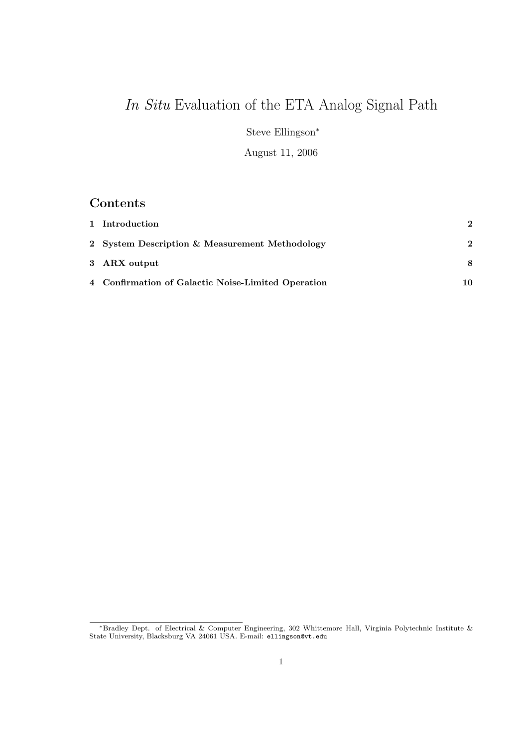# In Situ Evaluation of the ETA Analog Signal Path

Steve Ellingson<sup>∗</sup>

August 11, 2006

## Contents

| 1 Introduction                                     | $\mathbf{2}$ |
|----------------------------------------------------|--------------|
| 2 System Description & Measurement Methodology     | 2            |
| 3 ARX output                                       | 8            |
| 4 Confirmation of Galactic Noise-Limited Operation | 10.          |

<sup>∗</sup>Bradley Dept. of Electrical & Computer Engineering, 302 Whittemore Hall, Virginia Polytechnic Institute & State University, Blacksburg VA 24061 USA. E-mail: ellingson@vt.edu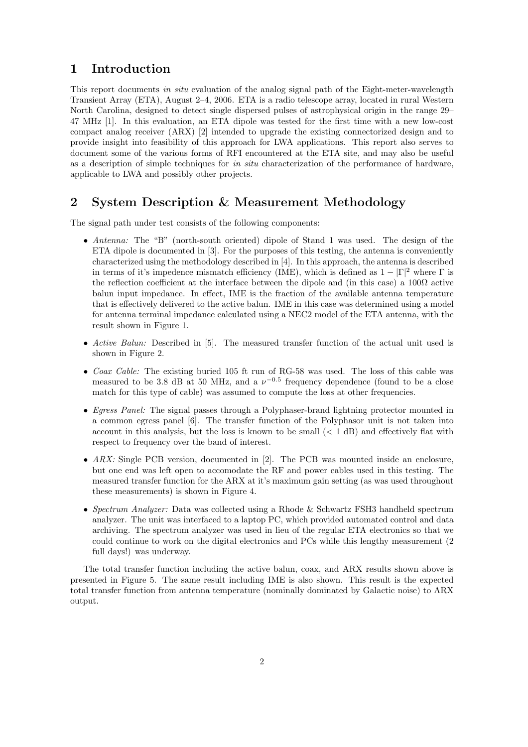#### 1 Introduction

This report documents in situ evaluation of the analog signal path of the Eight-meter-wavelength Transient Array (ETA), August 2–4, 2006. ETA is a radio telescope array, located in rural Western North Carolina, designed to detect single dispersed pulses of astrophysical origin in the range 29– 47 MHz [1]. In this evaluation, an ETA dipole was tested for the first time with a new low-cost compact analog receiver (ARX) [2] intended to upgrade the existing connectorized design and to provide insight into feasibility of this approach for LWA applications. This report also serves to document some of the various forms of RFI encountered at the ETA site, and may also be useful as a description of simple techniques for in situ characterization of the performance of hardware. applicable to LWA and possibly other projects.

#### 2 System Description & Measurement Methodology

The signal path under test consists of the following components:

- Antenna: The "B" (north-south oriented) dipole of Stand 1 was used. The design of the ETA dipole is documented in [3]. For the purposes of this testing, the antenna is conveniently characterized using the methodology described in [4]. In this approach, the antenna is described in terms of it's impedence mismatch efficiency (IME), which is defined as  $1 - |\Gamma|^2$  where  $\Gamma$  is the reflection coefficient at the interface between the dipole and (in this case) a  $100\Omega$  active balun input impedance. In effect, IME is the fraction of the available antenna temperature that is effectively delivered to the active balun. IME in this case was determined using a model for antenna terminal impedance calculated using a NEC2 model of the ETA antenna, with the result shown in Figure 1.
- Active Balun: Described in [5]. The measured transfer function of the actual unit used is shown in Figure 2.
- Coax Cable: The existing buried 105 ft run of RG-58 was used. The loss of this cable was measured to be 3.8 dB at 50 MHz, and a  $\nu^{-0.5}$  frequency dependence (found to be a close match for this type of cable) was assumed to compute the loss at other frequencies.
- Egress Panel: The signal passes through a Polyphaser-brand lightning protector mounted in a common egress panel [6]. The transfer function of the Polyphasor unit is not taken into account in this analysis, but the loss is known to be small  $(< 1 \text{ dB})$  and effectively flat with respect to frequency over the band of interest.
- $ARX$ : Single PCB version, documented in [2]. The PCB was mounted inside an enclosure, but one end was left open to accomodate the RF and power cables used in this testing. The measured transfer function for the ARX at it's maximum gain setting (as was used throughout these measurements) is shown in Figure 4.
- Spectrum Analyzer: Data was collected using a Rhode & Schwartz FSH3 handheld spectrum analyzer. The unit was interfaced to a laptop PC, which provided automated control and data archiving. The spectrum analyzer was used in lieu of the regular ETA electronics so that we could continue to work on the digital electronics and PCs while this lengthy measurement (2 full days!) was underway.

The total transfer function including the active balun, coax, and ARX results shown above is presented in Figure 5. The same result including IME is also shown. This result is the expected total transfer function from antenna temperature (nominally dominated by Galactic noise) to ARX output.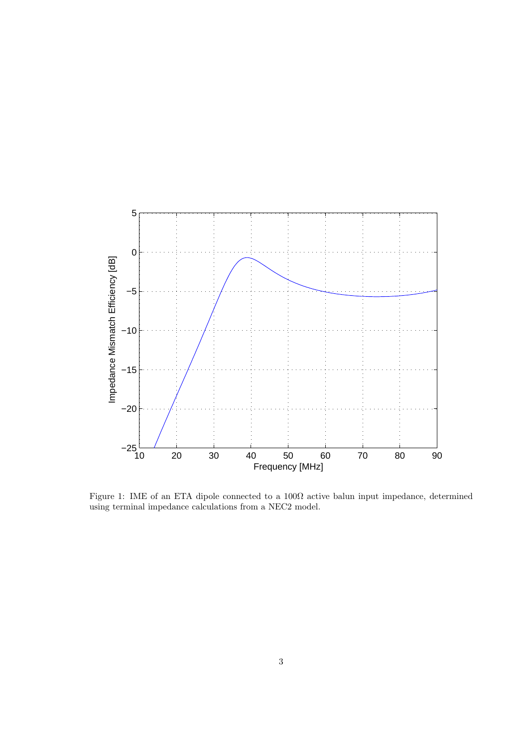

Figure 1: IME of an ETA dipole connected to a  $100\Omega$  active balun input impedance, determined using terminal impedance calculations from a NEC2 model.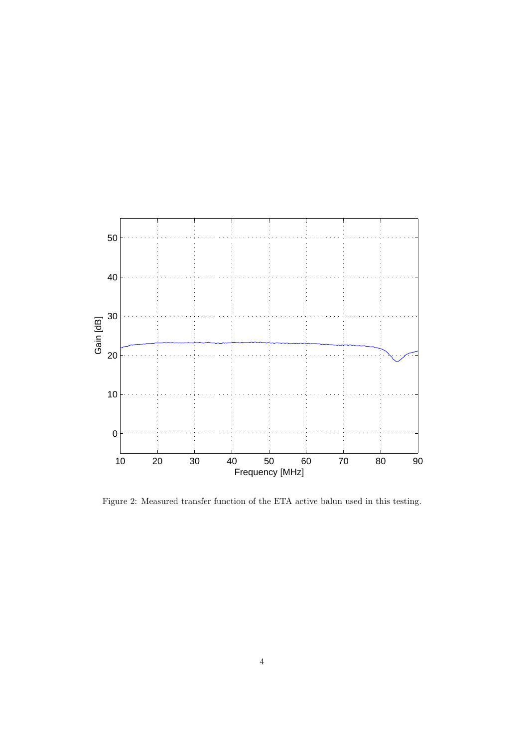

Figure 2: Measured transfer function of the ETA active balun used in this testing.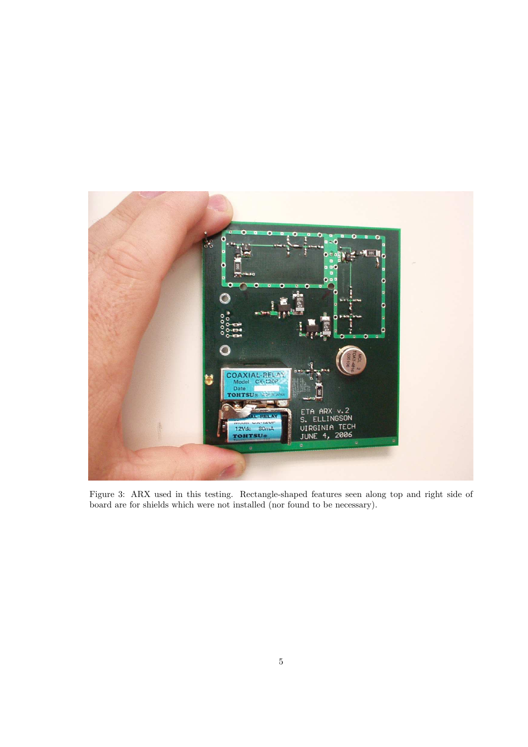

Figure 3: ARX used in this testing. Rectangle-shaped features seen along top and right side of board are for shields which were not installed (nor found to be necessary).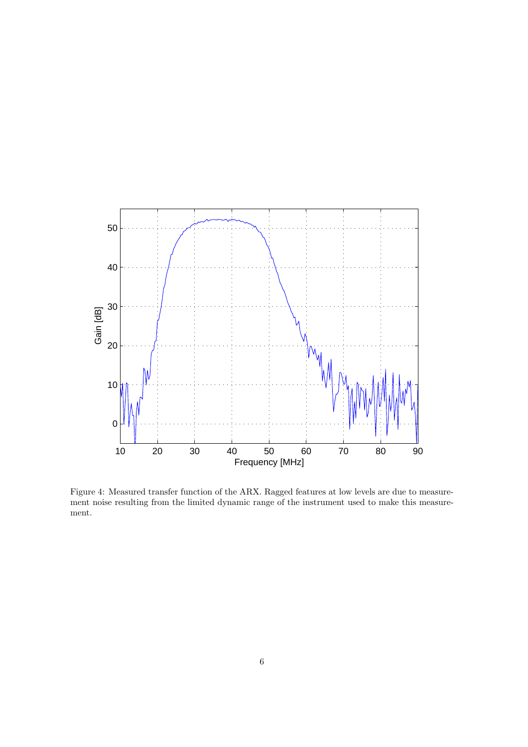

Figure 4: Measured transfer function of the ARX. Ragged features at low levels are due to measurement noise resulting from the limited dynamic range of the instrument used to make this measurement.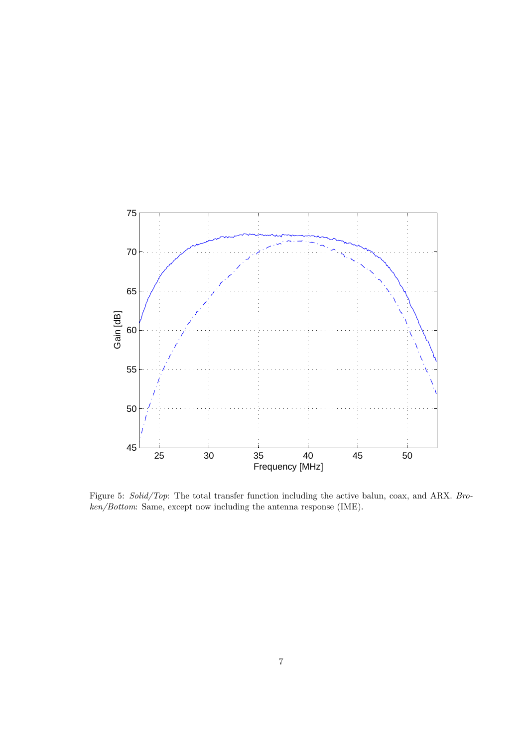

Figure 5: Solid/Top: The total transfer function including the active balun, coax, and ARX. Broken/Bottom: Same, except now including the antenna response (IME).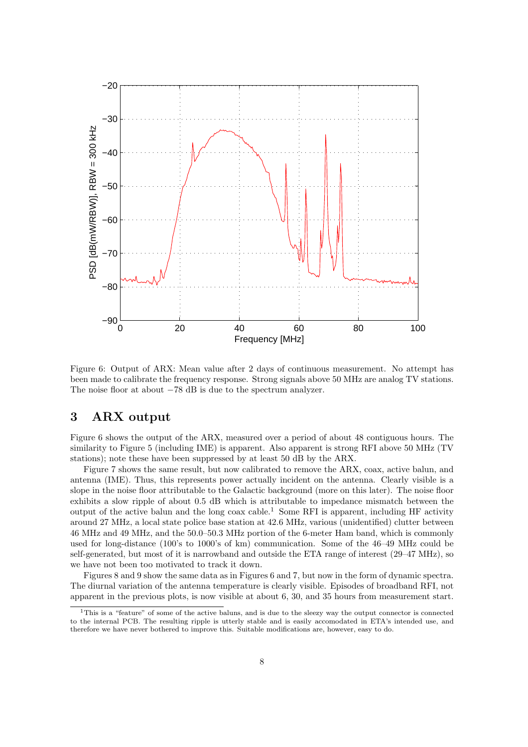

Figure 6: Output of ARX: Mean value after 2 days of continuous measurement. No attempt has been made to calibrate the frequency response. Strong signals above 50 MHz are analog TV stations. The noise floor at about −78 dB is due to the spectrum analyzer.

#### 3 ARX output

Figure 6 shows the output of the ARX, measured over a period of about 48 contiguous hours. The similarity to Figure 5 (including IME) is apparent. Also apparent is strong RFI above 50 MHz (TV stations); note these have been suppressed by at least 50 dB by the ARX.

Figure 7 shows the same result, but now calibrated to remove the ARX, coax, active balun, and antenna (IME). Thus, this represents power actually incident on the antenna. Clearly visible is a slope in the noise floor attributable to the Galactic background (more on this later). The noise floor exhibits a slow ripple of about 0.5 dB which is attributable to impedance mismatch between the output of the active balun and the long coax cable.<sup>1</sup> Some RFI is apparent, including HF activity around 27 MHz, a local state police base station at 42.6 MHz, various (unidentified) clutter between 46 MHz and 49 MHz, and the 50.0–50.3 MHz portion of the 6-meter Ham band, which is commonly used for long-distance (100's to 1000's of km) communication. Some of the 46–49 MHz could be self-generated, but most of it is narrowband and outside the ETA range of interest (29–47 MHz), so we have not been too motivated to track it down.

Figures 8 and 9 show the same data as in Figures 6 and 7, but now in the form of dynamic spectra. The diurnal variation of the antenna temperature is clearly visible. Episodes of broadband RFI, not apparent in the previous plots, is now visible at about 6, 30, and 35 hours from measurement start.

 $1$ This is a "feature" of some of the active baluns, and is due to the sleezy way the output connector is connected to the internal PCB. The resulting ripple is utterly stable and is easily accomodated in ETA's intended use, and therefore we have never bothered to improve this. Suitable modifications are, however, easy to do.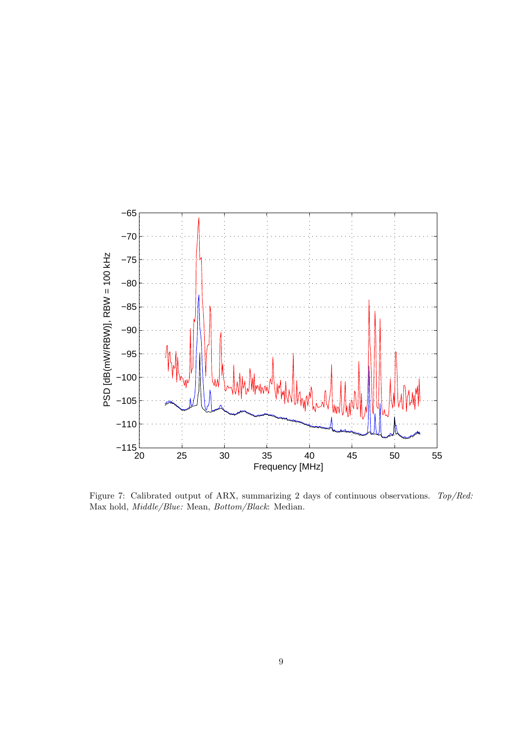

Figure 7: Calibrated output of ARX, summarizing 2 days of continuous observations. Top/Red: Max hold, Middle/Blue: Mean, Bottom/Black: Median.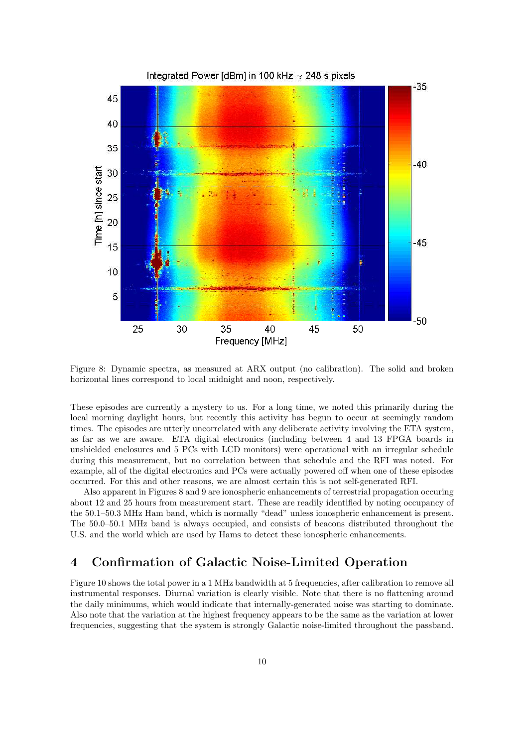

Figure 8: Dynamic spectra, as measured at ARX output (no calibration). The solid and broken horizontal lines correspond to local midnight and noon, respectively.

These episodes are currently a mystery to us. For a long time, we noted this primarily during the local morning daylight hours, but recently this activity has begun to occur at seemingly random times. The episodes are utterly uncorrelated with any deliberate activity involving the ETA system, as far as we are aware. ETA digital electronics (including between 4 and 13 FPGA boards in unshielded enclosures and 5 PCs with LCD monitors) were operational with an irregular schedule during this measurement, but no correlation between that schedule and the RFI was noted. For example, all of the digital electronics and PCs were actually powered off when one of these episodes occurred. For this and other reasons, we are almost certain this is not self-generated RFI.

Also apparent in Figures 8 and 9 are ionospheric enhancements of terrestrial propagation occuring about 12 and 25 hours from measurement start. These are readily identified by noting occupancy of the 50.1–50.3 MHz Ham band, which is normally "dead" unless ionospheric enhancement is present. The 50.0–50.1 MHz band is always occupied, and consists of beacons distributed throughout the U.S. and the world which are used by Hams to detect these ionospheric enhancements.

### 4 Confirmation of Galactic Noise-Limited Operation

Figure 10 shows the total power in a 1 MHz bandwidth at 5 frequencies, after calibration to remove all instrumental responses. Diurnal variation is clearly visible. Note that there is no flattening around the daily minimums, which would indicate that internally-generated noise was starting to dominate. Also note that the variation at the highest frequency appears to be the same as the variation at lower frequencies, suggesting that the system is strongly Galactic noise-limited throughout the passband.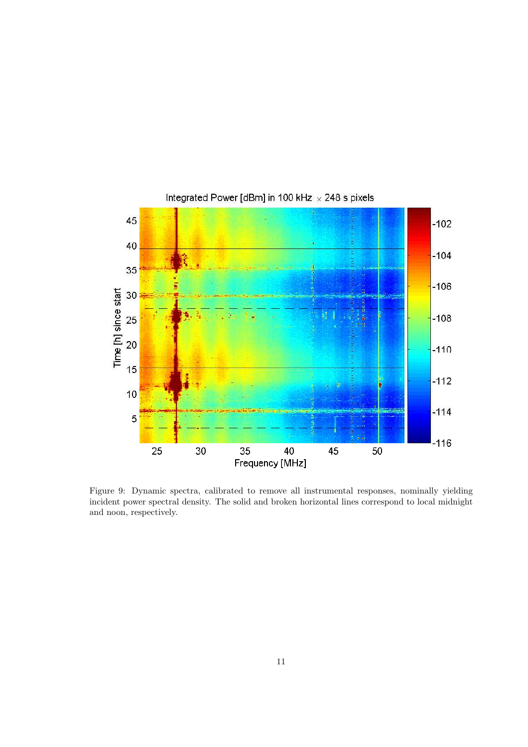

Figure 9: Dynamic spectra, calibrated to remove all instrumental responses, nominally yielding incident power spectral density. The solid and broken horizontal lines correspond to local midnight and noon, respectively.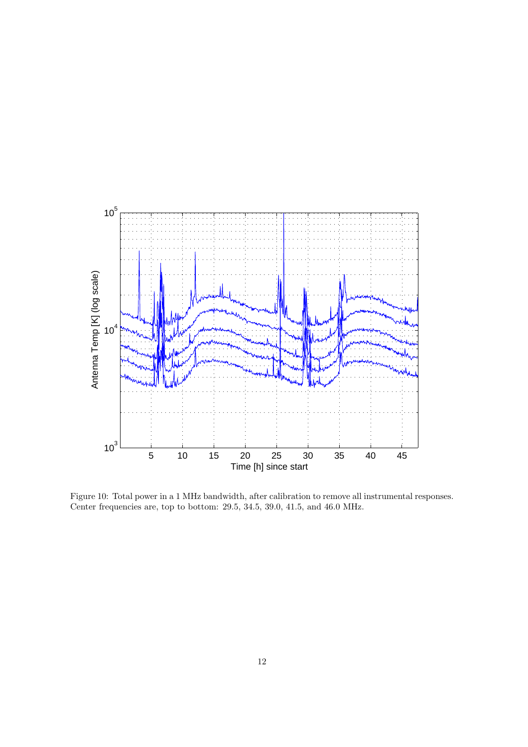

Figure 10: Total power in a 1 MHz bandwidth, after calibration to remove all instrumental responses. Center frequencies are, top to bottom: 29.5, 34.5, 39.0, 41.5, and 46.0 MHz.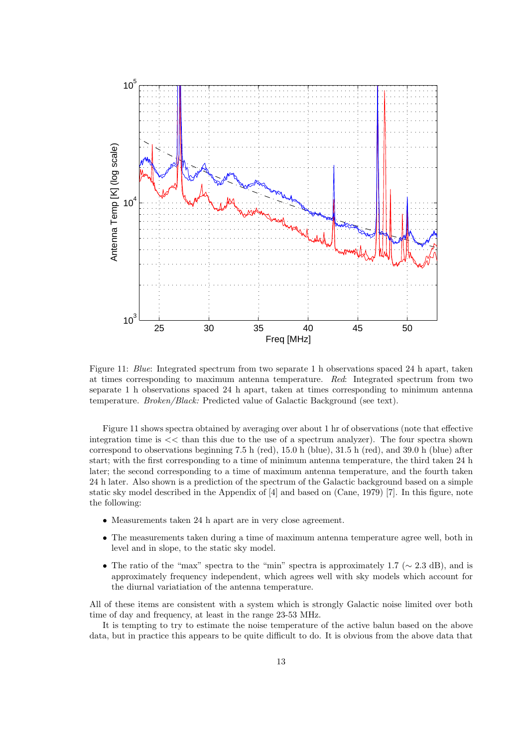

Figure 11: Blue: Integrated spectrum from two separate 1 h observations spaced 24 h apart, taken at times corresponding to maximum antenna temperature. Red: Integrated spectrum from two separate 1 h observations spaced 24 h apart, taken at times corresponding to minimum antenna temperature. Broken/Black: Predicted value of Galactic Background (see text).

Figure 11 shows spectra obtained by averaging over about 1 hr of observations (note that effective integration time is  $<<$  than this due to the use of a spectrum analyzer). The four spectra shown correspond to observations beginning 7.5 h (red), 15.0 h (blue), 31.5 h (red), and 39.0 h (blue) after start; with the first corresponding to a time of minimum antenna temperature, the third taken 24 h later; the second corresponding to a time of maximum antenna temperature, and the fourth taken 24 h later. Also shown is a prediction of the spectrum of the Galactic background based on a simple static sky model described in the Appendix of [4] and based on (Cane, 1979) [7]. In this figure, note the following:

- Measurements taken 24 h apart are in very close agreement.
- The measurements taken during a time of maximum antenna temperature agree well, both in level and in slope, to the static sky model.
- The ratio of the "max" spectra to the "min" spectra is approximately 1.7 ( $\sim$  2.3 dB), and is approximately frequency independent, which agrees well with sky models which account for the diurnal variatiation of the antenna temperature.

All of these items are consistent with a system which is strongly Galactic noise limited over both time of day and frequency, at least in the range 23-53 MHz.

It is tempting to try to estimate the noise temperature of the active balun based on the above data, but in practice this appears to be quite difficult to do. It is obvious from the above data that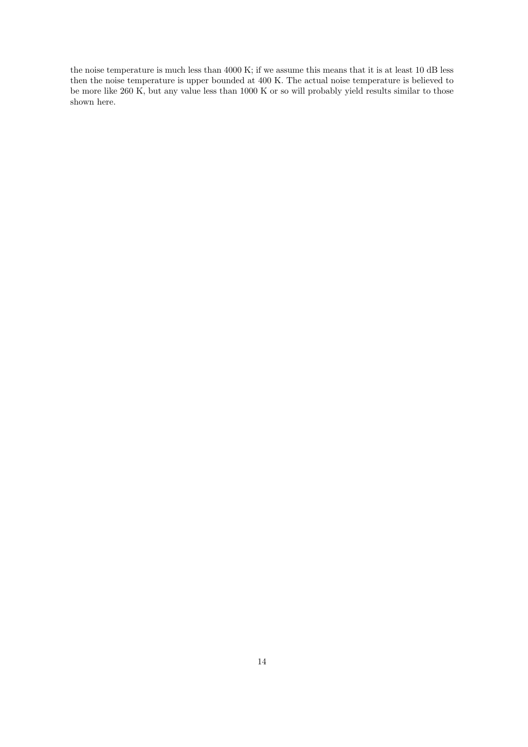the noise temperature is much less than 4000 K; if we assume this means that it is at least 10 dB less then the noise temperature is upper bounded at 400 K. The actual noise temperature is believed to be more like 260 K, but any value less than 1000 K or so will probably yield results similar to those shown here.